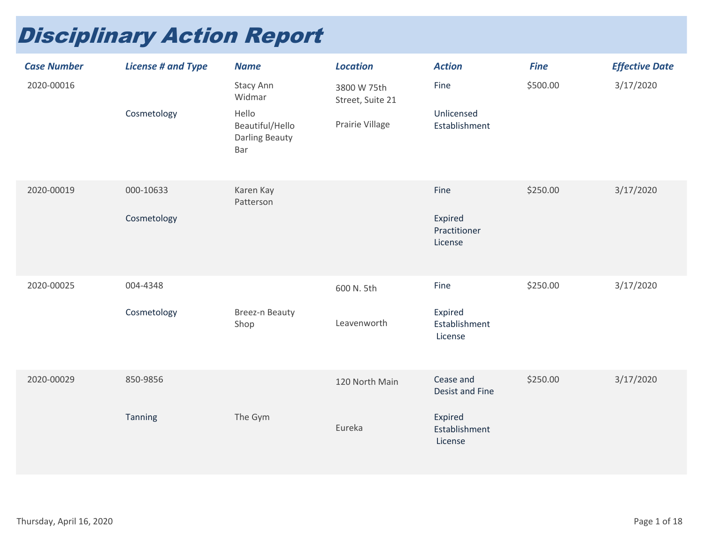## Disciplinary Action Report

| <b>Case Number</b> | <b>License # and Type</b> | <b>Name</b>                                                                     | <b>Location</b>                                    | <b>Action</b>                                                              | <b>Fine</b> | <b>Effective Date</b> |
|--------------------|---------------------------|---------------------------------------------------------------------------------|----------------------------------------------------|----------------------------------------------------------------------------|-------------|-----------------------|
| 2020-00016         | Cosmetology               | Stacy Ann<br>Widmar<br>Hello<br>Beautiful/Hello<br><b>Darling Beauty</b><br>Bar | 3800 W 75th<br>Street, Suite 21<br>Prairie Village | Fine<br>Unlicensed<br>Establishment                                        | \$500.00    | 3/17/2020             |
| 2020-00019         | 000-10633<br>Cosmetology  | Karen Kay<br>Patterson                                                          |                                                    | Fine<br>Expired<br>Practitioner<br>License                                 | \$250.00    | 3/17/2020             |
| 2020-00025         | 004-4348<br>Cosmetology   | Breez-n Beauty<br>Shop                                                          | 600 N. 5th<br>Leavenworth                          | Fine<br>Expired<br>Establishment<br>License                                | \$250.00    | 3/17/2020             |
| 2020-00029         | 850-9856<br>Tanning       | The Gym                                                                         | 120 North Main<br>Eureka                           | Cease and<br><b>Desist and Fine</b><br>Expired<br>Establishment<br>License | \$250.00    | 3/17/2020             |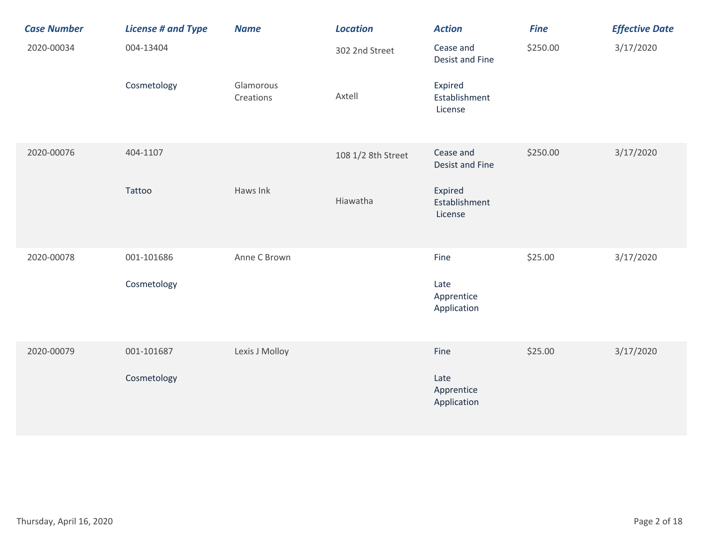| <b>Case Number</b> | <b>License # and Type</b> | <b>Name</b>            | <b>Location</b>    | <b>Action</b>                       | <b>Fine</b> | <b>Effective Date</b> |
|--------------------|---------------------------|------------------------|--------------------|-------------------------------------|-------------|-----------------------|
| 2020-00034         | 004-13404                 |                        | 302 2nd Street     | Cease and<br>Desist and Fine        | \$250.00    | 3/17/2020             |
|                    | Cosmetology               | Glamorous<br>Creations | Axtell             | Expired<br>Establishment<br>License |             |                       |
| 2020-00076         | 404-1107                  |                        | 108 1/2 8th Street | Cease and<br><b>Desist and Fine</b> | \$250.00    | 3/17/2020             |
|                    | Tattoo                    | Haws Ink               | Hiawatha           | Expired<br>Establishment<br>License |             |                       |
| 2020-00078         | 001-101686                | Anne C Brown           |                    | Fine                                | \$25.00     | 3/17/2020             |
|                    | Cosmetology               |                        |                    | Late<br>Apprentice<br>Application   |             |                       |
| 2020-00079         | 001-101687                | Lexis J Molloy         |                    | Fine                                | \$25.00     | 3/17/2020             |
|                    | Cosmetology               |                        |                    | Late<br>Apprentice<br>Application   |             |                       |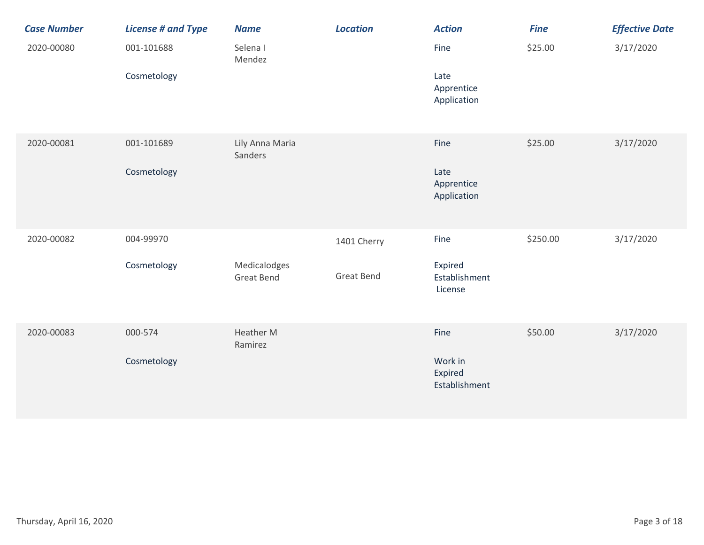| <b>Case Number</b> | <b>License # and Type</b> | <b>Name</b>                       | <b>Location</b>   | <b>Action</b>                       | <b>Fine</b> | <b>Effective Date</b> |
|--------------------|---------------------------|-----------------------------------|-------------------|-------------------------------------|-------------|-----------------------|
| 2020-00080         | 001-101688                | Selena I<br>Mendez                |                   | Fine                                | \$25.00     | 3/17/2020             |
|                    | Cosmetology               |                                   |                   | Late<br>Apprentice<br>Application   |             |                       |
| 2020-00081         | 001-101689                | Lily Anna Maria<br>Sanders        |                   | Fine                                | \$25.00     | 3/17/2020             |
|                    | Cosmetology               |                                   |                   | Late<br>Apprentice<br>Application   |             |                       |
| 2020-00082         | 004-99970                 |                                   | 1401 Cherry       | Fine                                | \$250.00    | 3/17/2020             |
|                    | Cosmetology               | Medicalodges<br><b>Great Bend</b> | <b>Great Bend</b> | Expired<br>Establishment<br>License |             |                       |
| 2020-00083         | 000-574                   | Heather M<br>Ramirez              |                   | Fine                                | \$50.00     | 3/17/2020             |
|                    | Cosmetology               |                                   |                   | Work in<br>Expired<br>Establishment |             |                       |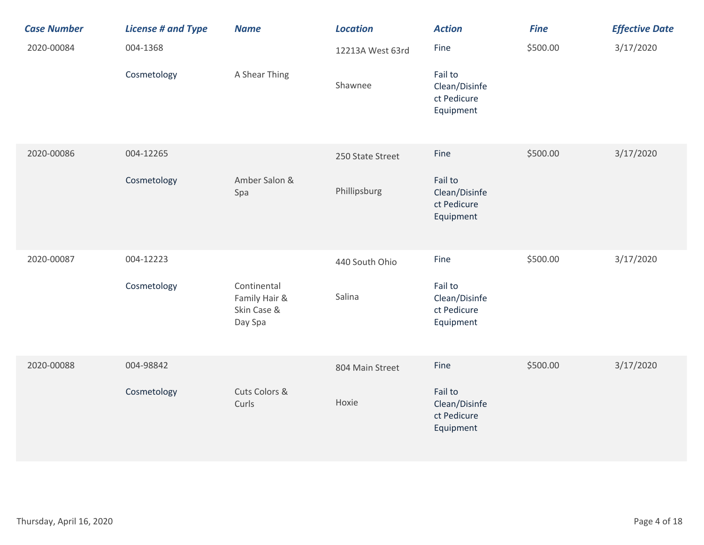| <b>Case Number</b> | <b>License # and Type</b> | <b>Name</b>                                            | <b>Location</b>  | <b>Action</b>                                        | <b>Fine</b> | <b>Effective Date</b> |
|--------------------|---------------------------|--------------------------------------------------------|------------------|------------------------------------------------------|-------------|-----------------------|
| 2020-00084         | 004-1368                  |                                                        | 12213A West 63rd | Fine                                                 | \$500.00    | 3/17/2020             |
|                    | Cosmetology               | A Shear Thing                                          | Shawnee          | Fail to<br>Clean/Disinfe<br>ct Pedicure<br>Equipment |             |                       |
| 2020-00086         | 004-12265                 |                                                        | 250 State Street | Fine                                                 | \$500.00    | 3/17/2020             |
|                    | Cosmetology               | Amber Salon &<br>Spa                                   | Phillipsburg     | Fail to<br>Clean/Disinfe<br>ct Pedicure<br>Equipment |             |                       |
| 2020-00087         | 004-12223                 |                                                        | 440 South Ohio   | Fine                                                 | \$500.00    | 3/17/2020             |
|                    | Cosmetology               | Continental<br>Family Hair &<br>Skin Case &<br>Day Spa | Salina           | Fail to<br>Clean/Disinfe<br>ct Pedicure<br>Equipment |             |                       |
| 2020-00088         | 004-98842                 |                                                        | 804 Main Street  | Fine                                                 | \$500.00    | 3/17/2020             |
|                    | Cosmetology               | Cuts Colors &<br>Curls                                 | Hoxie            | Fail to<br>Clean/Disinfe<br>ct Pedicure<br>Equipment |             |                       |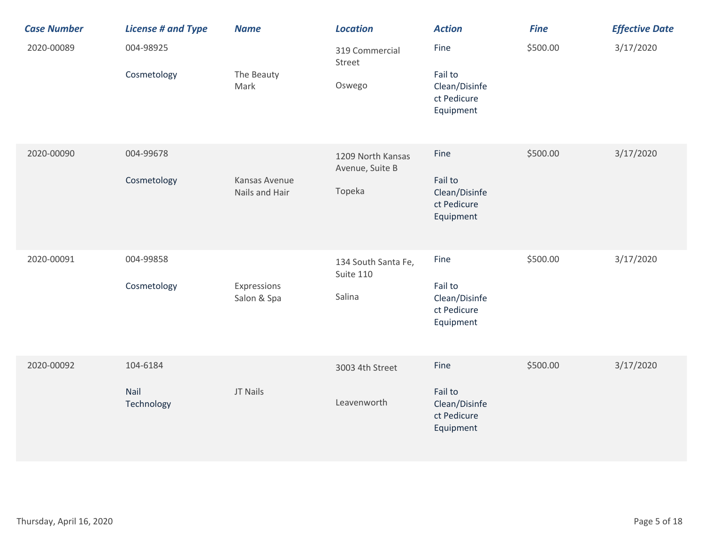| <b>Case Number</b> | <b>License # and Type</b>      | <b>Name</b>                     | <b>Location</b>                                | <b>Action</b>                                                | <b>Fine</b> | <b>Effective Date</b> |
|--------------------|--------------------------------|---------------------------------|------------------------------------------------|--------------------------------------------------------------|-------------|-----------------------|
| 2020-00089         | 004-98925<br>Cosmetology       | The Beauty<br>Mark              | 319 Commercial<br>Street<br>Oswego             | Fine<br>Fail to<br>Clean/Disinfe<br>ct Pedicure<br>Equipment | \$500.00    | 3/17/2020             |
| 2020-00090         | 004-99678<br>Cosmetology       | Kansas Avenue<br>Nails and Hair | 1209 North Kansas<br>Avenue, Suite B<br>Topeka | Fine<br>Fail to<br>Clean/Disinfe<br>ct Pedicure<br>Equipment | \$500.00    | 3/17/2020             |
| 2020-00091         | 004-99858<br>Cosmetology       | Expressions<br>Salon & Spa      | 134 South Santa Fe,<br>Suite 110<br>Salina     | Fine<br>Fail to<br>Clean/Disinfe<br>ct Pedicure<br>Equipment | \$500.00    | 3/17/2020             |
| 2020-00092         | 104-6184<br>Nail<br>Technology | JT Nails                        | 3003 4th Street<br>Leavenworth                 | Fine<br>Fail to<br>Clean/Disinfe<br>ct Pedicure<br>Equipment | \$500.00    | 3/17/2020             |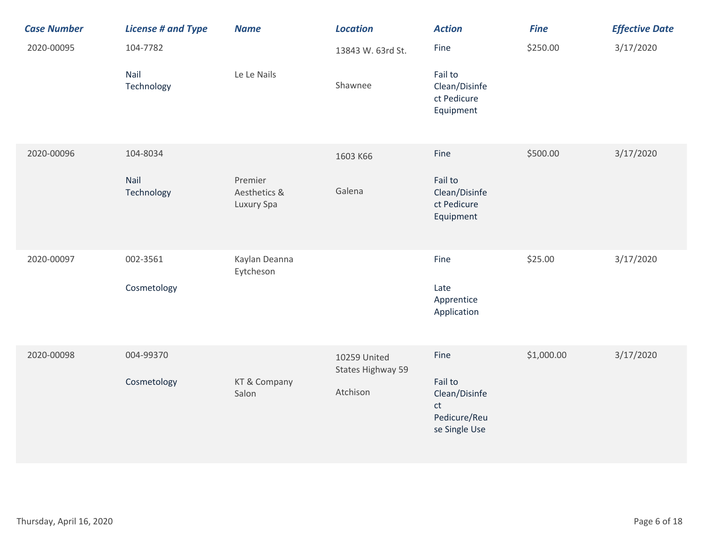| <b>Case Number</b> | <b>License # and Type</b> | <b>Name</b>                           | <b>Location</b>                   | <b>Action</b>                                                   | <b>Fine</b> | <b>Effective Date</b> |
|--------------------|---------------------------|---------------------------------------|-----------------------------------|-----------------------------------------------------------------|-------------|-----------------------|
| 2020-00095         | 104-7782                  |                                       | 13843 W. 63rd St.                 | Fine                                                            | \$250.00    | 3/17/2020             |
|                    | Nail<br>Technology        | Le Le Nails                           | Shawnee                           | Fail to<br>Clean/Disinfe<br>ct Pedicure<br>Equipment            |             |                       |
| 2020-00096         | 104-8034                  |                                       | 1603 K66                          | Fine                                                            | \$500.00    | 3/17/2020             |
|                    | Nail<br>Technology        | Premier<br>Aesthetics &<br>Luxury Spa | Galena                            | Fail to<br>Clean/Disinfe<br>ct Pedicure<br>Equipment            |             |                       |
| 2020-00097         | 002-3561                  | Kaylan Deanna<br>Eytcheson            |                                   | Fine                                                            | \$25.00     | 3/17/2020             |
|                    | Cosmetology               |                                       |                                   | Late<br>Apprentice<br>Application                               |             |                       |
| 2020-00098         | 004-99370                 |                                       | 10259 United<br>States Highway 59 | Fine                                                            | \$1,000.00  | 3/17/2020             |
|                    | Cosmetology               | KT & Company<br>Salon                 | Atchison                          | Fail to<br>Clean/Disinfe<br>ct<br>Pedicure/Reu<br>se Single Use |             |                       |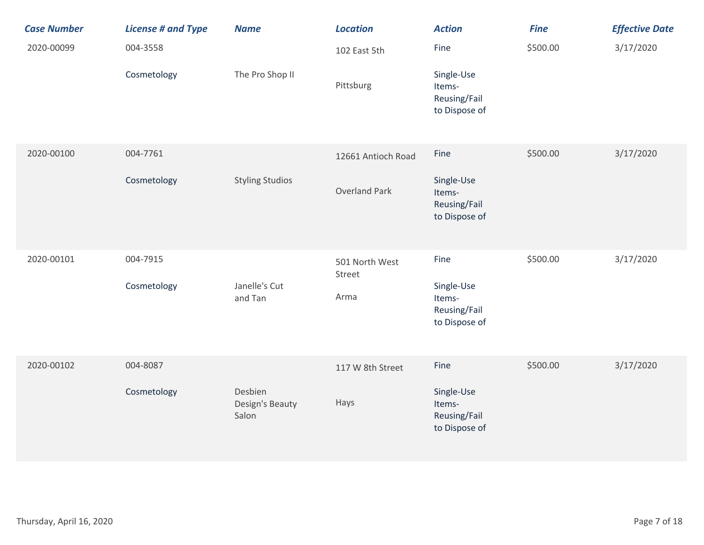| <b>Case Number</b> | <b>License # and Type</b> | <b>Name</b>                         | <b>Location</b>          | <b>Action</b>                                         | <b>Fine</b> | <b>Effective Date</b> |
|--------------------|---------------------------|-------------------------------------|--------------------------|-------------------------------------------------------|-------------|-----------------------|
| 2020-00099         | 004-3558                  |                                     | 102 East 5th             | Fine                                                  | \$500.00    | 3/17/2020             |
|                    | Cosmetology               | The Pro Shop II                     | Pittsburg                | Single-Use<br>Items-<br>Reusing/Fail<br>to Dispose of |             |                       |
| 2020-00100         | 004-7761                  |                                     | 12661 Antioch Road       | Fine                                                  | \$500.00    | 3/17/2020             |
|                    | Cosmetology               | <b>Styling Studios</b>              | <b>Overland Park</b>     | Single-Use<br>Items-<br>Reusing/Fail<br>to Dispose of |             |                       |
| 2020-00101         | 004-7915                  |                                     | 501 North West<br>Street | Fine                                                  | \$500.00    | 3/17/2020             |
|                    | Cosmetology               | Janelle's Cut<br>and Tan            | Arma                     | Single-Use<br>Items-<br>Reusing/Fail<br>to Dispose of |             |                       |
| 2020-00102         | 004-8087                  |                                     | 117 W 8th Street         | Fine                                                  | \$500.00    | 3/17/2020             |
|                    | Cosmetology               | Desbien<br>Design's Beauty<br>Salon | Hays                     | Single-Use<br>Items-<br>Reusing/Fail<br>to Dispose of |             |                       |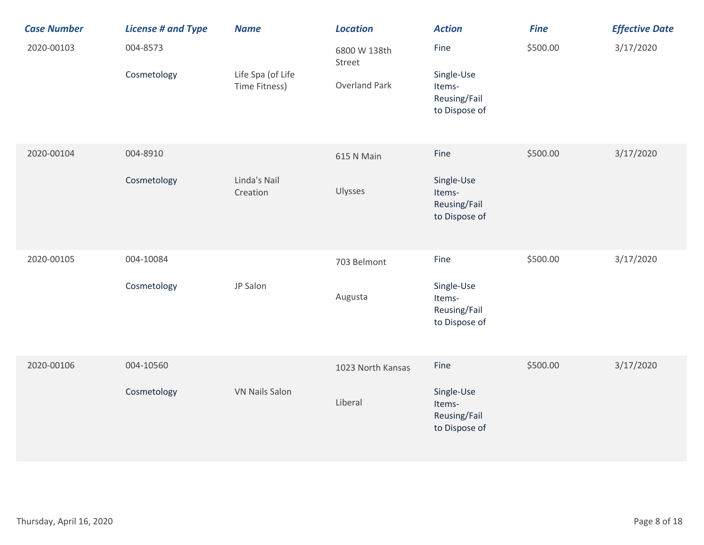| <b>Case Number</b> | <b>License # and Type</b> | <b>Name</b>                        | <b>Location</b>                                | <b>Action</b>                                                 | <b>Fine</b> | <b>Effective Date</b> |
|--------------------|---------------------------|------------------------------------|------------------------------------------------|---------------------------------------------------------------|-------------|-----------------------|
| 2020-00103         | 004-8573<br>Cosmetology   | Life Spa (of Life<br>Time Fitness) | 6800 W 138th<br>Street<br><b>Overland Park</b> | Fine<br>Single-Use<br>Items-<br>Reusing/Fail<br>to Dispose of | \$500.00    | 3/17/2020             |
| 2020-00104         | 004-8910<br>Cosmetology   | Linda's Nail<br>Creation           | 615 N Main<br>Ulysses                          | Fine<br>Single-Use<br>Items-<br>Reusing/Fail<br>to Dispose of | \$500.00    | 3/17/2020             |
| 2020-00105         | 004-10084<br>Cosmetology  | JP Salon                           | 703 Belmont<br>Augusta                         | Fine<br>Single-Use<br>Items-<br>Reusing/Fail<br>to Dispose of | \$500.00    | 3/17/2020             |
| 2020-00106         | 004-10560<br>Cosmetology  | <b>VN Nails Salon</b>              | 1023 North Kansas<br>Liberal                   | Fine<br>Single-Use<br>Items-<br>Reusing/Fail<br>to Dispose of | \$500.00    | 3/17/2020             |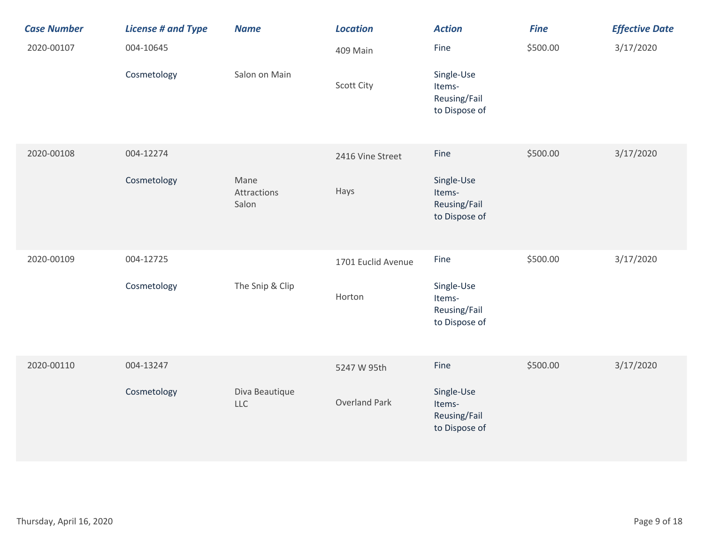| <b>Case Number</b> | <b>License # and Type</b> | <b>Name</b>                  | <b>Location</b>    | <b>Action</b>                                         | <b>Fine</b> | <b>Effective Date</b> |
|--------------------|---------------------------|------------------------------|--------------------|-------------------------------------------------------|-------------|-----------------------|
| 2020-00107         | 004-10645                 |                              | 409 Main           | Fine                                                  | \$500.00    | 3/17/2020             |
|                    | Cosmetology               | Salon on Main                | <b>Scott City</b>  | Single-Use<br>Items-<br>Reusing/Fail<br>to Dispose of |             |                       |
| 2020-00108         | 004-12274                 |                              | 2416 Vine Street   | Fine                                                  | \$500.00    | 3/17/2020             |
|                    | Cosmetology               | Mane<br>Attractions<br>Salon | Hays               | Single-Use<br>Items-<br>Reusing/Fail<br>to Dispose of |             |                       |
| 2020-00109         | 004-12725                 |                              | 1701 Euclid Avenue | Fine                                                  | \$500.00    | 3/17/2020             |
|                    | Cosmetology               | The Snip & Clip              | Horton             | Single-Use<br>Items-<br>Reusing/Fail<br>to Dispose of |             |                       |
| 2020-00110         | 004-13247                 |                              | 5247 W 95th        | Fine                                                  | \$500.00    | 3/17/2020             |
|                    | Cosmetology               | Diva Beautique<br><b>LLC</b> | Overland Park      | Single-Use<br>Items-<br>Reusing/Fail<br>to Dispose of |             |                       |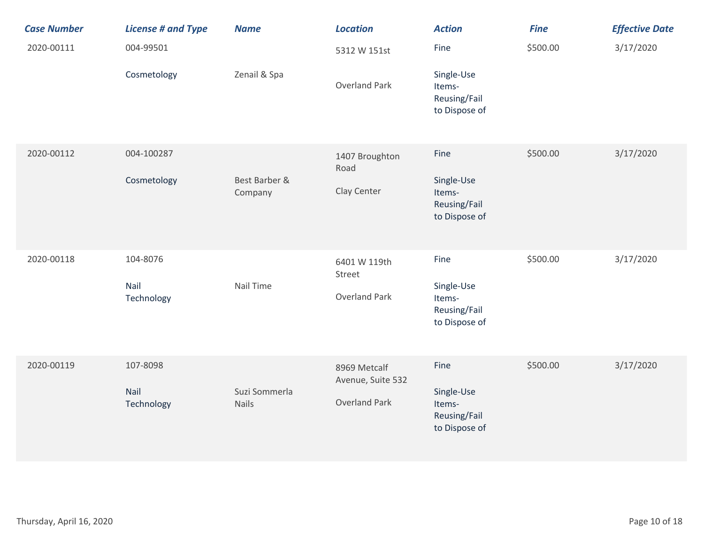| <b>Case Number</b> | <b>License # and Type</b>      | <b>Name</b>              | <b>Location</b>                                           | <b>Action</b>                                                 | <b>Fine</b> | <b>Effective Date</b> |
|--------------------|--------------------------------|--------------------------|-----------------------------------------------------------|---------------------------------------------------------------|-------------|-----------------------|
| 2020-00111         | 004-99501                      |                          | 5312 W 151st                                              | Fine                                                          | \$500.00    | 3/17/2020             |
|                    | Cosmetology                    | Zenail & Spa             | <b>Overland Park</b>                                      | Single-Use<br>Items-<br>Reusing/Fail<br>to Dispose of         |             |                       |
| 2020-00112         | 004-100287<br>Cosmetology      | Best Barber &<br>Company | 1407 Broughton<br>Road<br>Clay Center                     | Fine<br>Single-Use<br>Items-<br>Reusing/Fail<br>to Dispose of | \$500.00    | 3/17/2020             |
| 2020-00118         | 104-8076<br>Nail<br>Technology | Nail Time                | 6401 W 119th<br>Street<br><b>Overland Park</b>            | Fine<br>Single-Use<br>Items-<br>Reusing/Fail<br>to Dispose of | \$500.00    | 3/17/2020             |
| 2020-00119         | 107-8098<br>Nail<br>Technology | Suzi Sommerla<br>Nails   | 8969 Metcalf<br>Avenue, Suite 532<br><b>Overland Park</b> | Fine<br>Single-Use<br>Items-<br>Reusing/Fail<br>to Dispose of | \$500.00    | 3/17/2020             |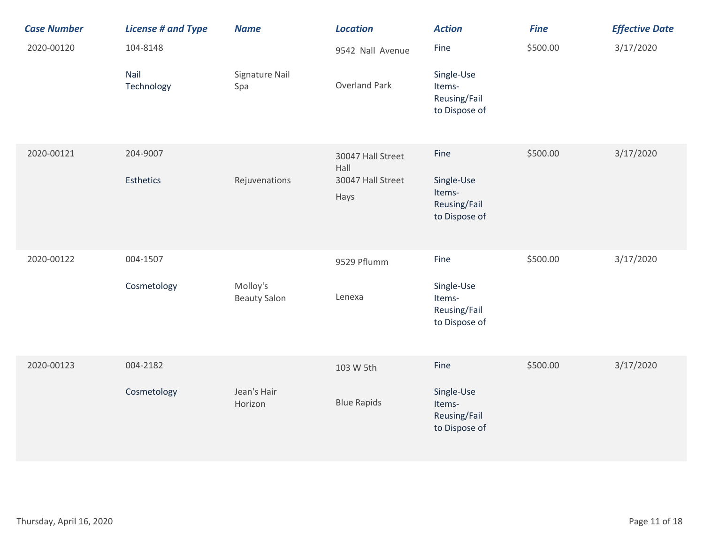| <b>Case Number</b> | <b>License # and Type</b> | <b>Name</b>                     | <b>Location</b>           | <b>Action</b>                                         | <b>Fine</b> | <b>Effective Date</b> |
|--------------------|---------------------------|---------------------------------|---------------------------|-------------------------------------------------------|-------------|-----------------------|
| 2020-00120         | 104-8148                  |                                 | 9542 Nall Avenue          | Fine                                                  | \$500.00    | 3/17/2020             |
|                    | Nail<br>Technology        | Signature Nail<br>Spa           | <b>Overland Park</b>      | Single-Use<br>Items-<br>Reusing/Fail<br>to Dispose of |             |                       |
| 2020-00121         | 204-9007                  |                                 | 30047 Hall Street<br>Hall | Fine                                                  | \$500.00    | 3/17/2020             |
|                    | <b>Esthetics</b>          | Rejuvenations                   | 30047 Hall Street<br>Hays | Single-Use<br>Items-<br>Reusing/Fail<br>to Dispose of |             |                       |
| 2020-00122         | 004-1507                  |                                 | 9529 Pflumm               | Fine                                                  | \$500.00    | 3/17/2020             |
|                    | Cosmetology               | Molloy's<br><b>Beauty Salon</b> | Lenexa                    | Single-Use<br>Items-<br>Reusing/Fail<br>to Dispose of |             |                       |
| 2020-00123         | 004-2182                  |                                 | 103 W 5th                 | Fine                                                  | \$500.00    | 3/17/2020             |
|                    | Cosmetology               | Jean's Hair<br>Horizon          | <b>Blue Rapids</b>        | Single-Use<br>Items-<br>Reusing/Fail<br>to Dispose of |             |                       |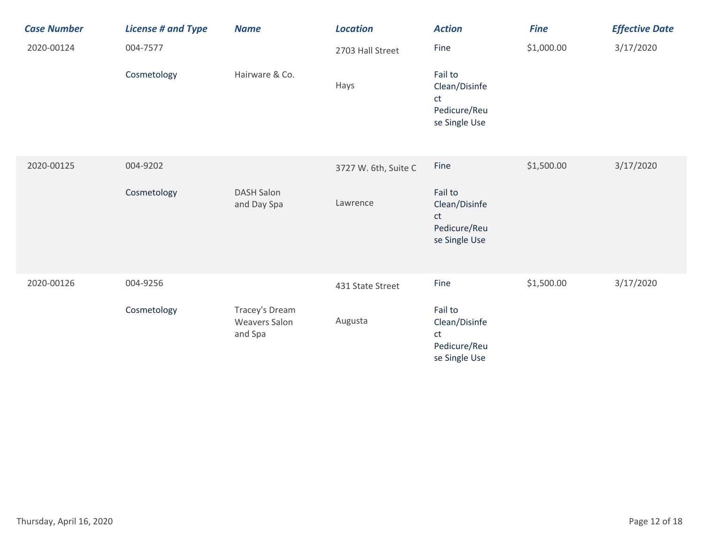| <b>Case Number</b> | <b>License # and Type</b> | <b>Name</b>                                       | <b>Location</b>      | <b>Action</b>                                                   | <b>Fine</b> | <b>Effective Date</b> |
|--------------------|---------------------------|---------------------------------------------------|----------------------|-----------------------------------------------------------------|-------------|-----------------------|
| 2020-00124         | 004-7577                  |                                                   | 2703 Hall Street     | Fine                                                            | \$1,000.00  | 3/17/2020             |
|                    | Cosmetology               | Hairware & Co.                                    | Hays                 | Fail to<br>Clean/Disinfe<br>ct<br>Pedicure/Reu<br>se Single Use |             |                       |
| 2020-00125         | 004-9202                  |                                                   | 3727 W. 6th, Suite C | Fine                                                            | \$1,500.00  | 3/17/2020             |
|                    | Cosmetology               | <b>DASH Salon</b><br>and Day Spa                  | Lawrence             | Fail to<br>Clean/Disinfe<br>ct<br>Pedicure/Reu<br>se Single Use |             |                       |
| 2020-00126         | 004-9256                  |                                                   | 431 State Street     | Fine                                                            | \$1,500.00  | 3/17/2020             |
|                    | Cosmetology               | Tracey's Dream<br><b>Weavers Salon</b><br>and Spa | Augusta              | Fail to<br>Clean/Disinfe<br>ct<br>Pedicure/Reu<br>se Single Use |             |                       |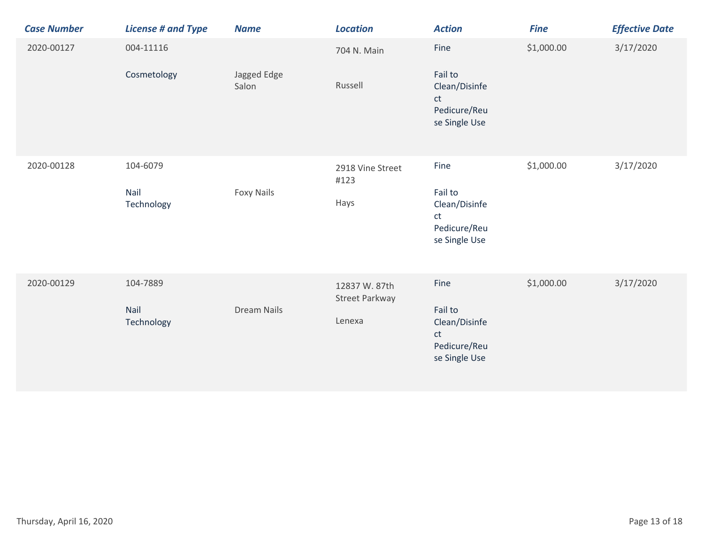| <b>Case Number</b> | <b>License # and Type</b>      | <b>Name</b>          | <b>Location</b>                           | <b>Action</b>                                                           | <b>Fine</b> | <b>Effective Date</b> |
|--------------------|--------------------------------|----------------------|-------------------------------------------|-------------------------------------------------------------------------|-------------|-----------------------|
| 2020-00127         | 004-11116<br>Cosmetology       | Jagged Edge<br>Salon | 704 N. Main<br>Russell                    | Fine<br>Fail to<br>Clean/Disinfe<br>ct<br>Pedicure/Reu<br>se Single Use | \$1,000.00  | 3/17/2020             |
| 2020-00128         | 104-6079<br>Nail<br>Technology | <b>Foxy Nails</b>    | 2918 Vine Street<br>#123<br>Hays          | Fine<br>Fail to<br>Clean/Disinfe<br>ct<br>Pedicure/Reu<br>se Single Use | \$1,000.00  | 3/17/2020             |
| 2020-00129         | 104-7889<br>Nail<br>Technology | <b>Dream Nails</b>   | 12837 W. 87th<br>Street Parkway<br>Lenexa | Fine<br>Fail to<br>Clean/Disinfe<br>ct<br>Pedicure/Reu<br>se Single Use | \$1,000.00  | 3/17/2020             |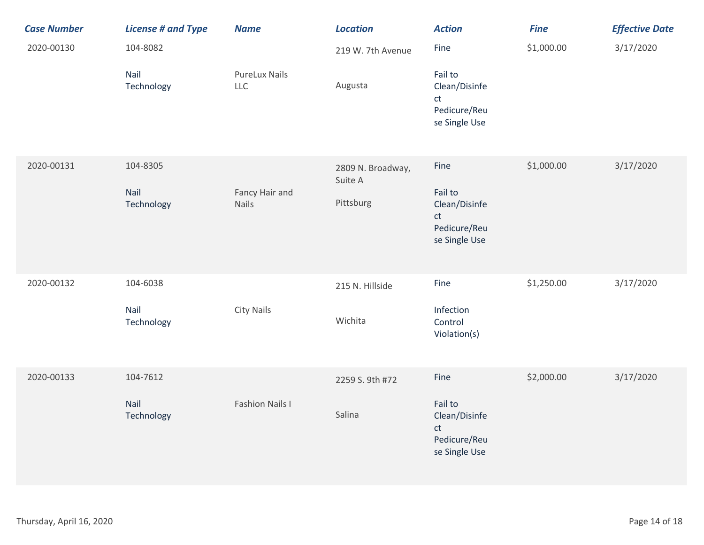| <b>Case Number</b> | <b>License # and Type</b>      | <b>Name</b>                 | <b>Location</b>                           | <b>Action</b>                                                           | <b>Fine</b> | <b>Effective Date</b> |
|--------------------|--------------------------------|-----------------------------|-------------------------------------------|-------------------------------------------------------------------------|-------------|-----------------------|
| 2020-00130         | 104-8082                       |                             | 219 W. 7th Avenue                         | Fine                                                                    | \$1,000.00  | 3/17/2020             |
|                    | Nail<br>Technology             | <b>PureLux Nails</b><br>LLC | Augusta                                   | Fail to<br>Clean/Disinfe<br>ct<br>Pedicure/Reu<br>se Single Use         |             |                       |
| 2020-00131         | 104-8305<br>Nail<br>Technology | Fancy Hair and<br>Nails     | 2809 N. Broadway,<br>Suite A<br>Pittsburg | Fine<br>Fail to<br>Clean/Disinfe<br>ct<br>Pedicure/Reu<br>se Single Use | \$1,000.00  | 3/17/2020             |
| 2020-00132         | 104-6038<br>Nail<br>Technology | City Nails                  | 215 N. Hillside<br>Wichita                | Fine<br>Infection<br>Control<br>Violation(s)                            | \$1,250.00  | 3/17/2020             |
| 2020-00133         | 104-7612<br>Nail<br>Technology | <b>Fashion Nails I</b>      | 2259 S. 9th #72<br>Salina                 | Fine<br>Fail to<br>Clean/Disinfe<br>ct<br>Pedicure/Reu<br>se Single Use | \$2,000.00  | 3/17/2020             |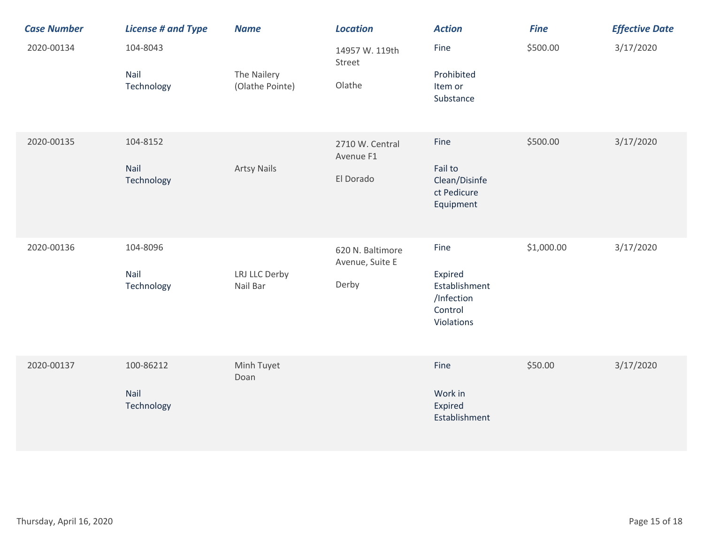| <b>Case Number</b> | <b>License # and Type</b>       | <b>Name</b>                    | <b>Location</b>                              | <b>Action</b>                                                           | <b>Fine</b> | <b>Effective Date</b> |
|--------------------|---------------------------------|--------------------------------|----------------------------------------------|-------------------------------------------------------------------------|-------------|-----------------------|
| 2020-00134         | 104-8043<br>Nail<br>Technology  | The Nailery<br>(Olathe Pointe) | 14957 W. 119th<br>Street<br>Olathe           | Fine<br>Prohibited<br>Item or<br>Substance                              | \$500.00    | 3/17/2020             |
| 2020-00135         | 104-8152<br>Nail<br>Technology  | <b>Artsy Nails</b>             | 2710 W. Central<br>Avenue F1<br>El Dorado    | Fine<br>Fail to<br>Clean/Disinfe<br>ct Pedicure<br>Equipment            | \$500.00    | 3/17/2020             |
| 2020-00136         | 104-8096<br>Nail<br>Technology  | LRJ LLC Derby<br>Nail Bar      | 620 N. Baltimore<br>Avenue, Suite E<br>Derby | Fine<br>Expired<br>Establishment<br>/Infection<br>Control<br>Violations | \$1,000.00  | 3/17/2020             |
| 2020-00137         | 100-86212<br>Nail<br>Technology | Minh Tuyet<br>Doan             |                                              | Fine<br>Work in<br>Expired<br>Establishment                             | \$50.00     | 3/17/2020             |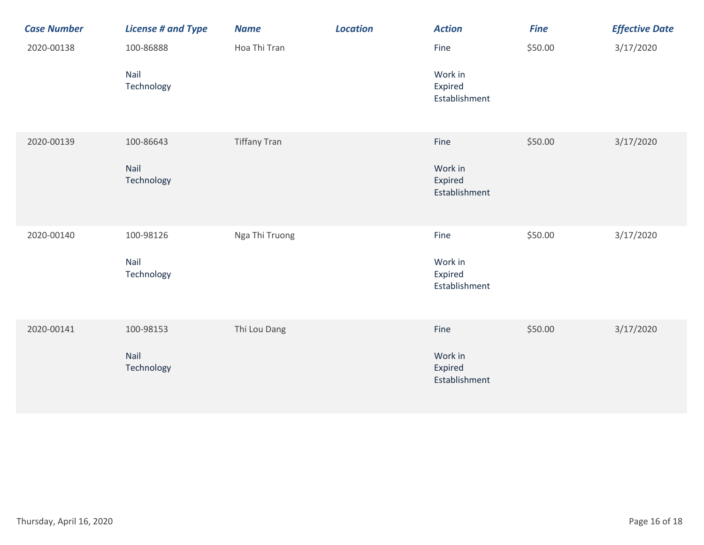| <b>Case Number</b> | <b>License # and Type</b>       | <b>Name</b>         | <b>Location</b> | <b>Action</b>                               | <b>Fine</b> | <b>Effective Date</b> |
|--------------------|---------------------------------|---------------------|-----------------|---------------------------------------------|-------------|-----------------------|
| 2020-00138         | 100-86888                       | Hoa Thi Tran        |                 | Fine                                        | \$50.00     | 3/17/2020             |
|                    | Nail<br>Technology              |                     |                 | Work in<br>Expired<br>Establishment         |             |                       |
| 2020-00139         | 100-86643<br>Nail<br>Technology | <b>Tiffany Tran</b> |                 | Fine<br>Work in<br>Expired<br>Establishment | \$50.00     | 3/17/2020             |
| 2020-00140         | 100-98126<br>Nail<br>Technology | Nga Thi Truong      |                 | Fine<br>Work in<br>Expired<br>Establishment | \$50.00     | 3/17/2020             |
| 2020-00141         | 100-98153<br>Nail<br>Technology | Thi Lou Dang        |                 | Fine<br>Work in<br>Expired<br>Establishment | \$50.00     | 3/17/2020             |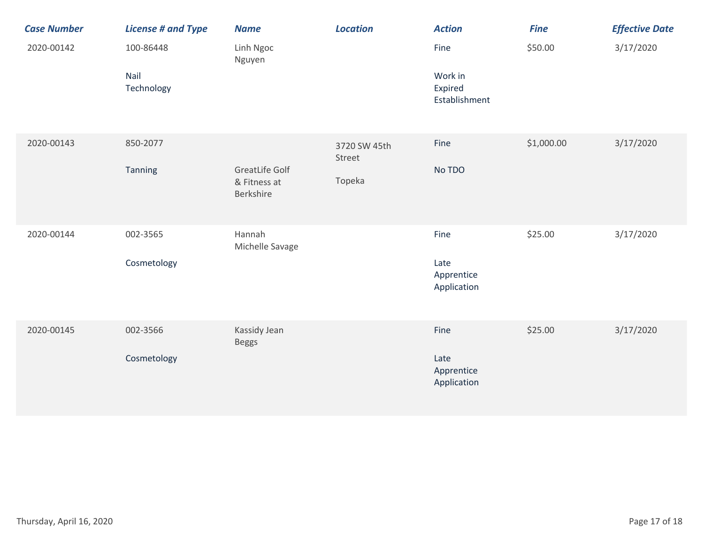| <b>Case Number</b> | <b>License # and Type</b> | <b>Name</b>                                        | <b>Location</b>        | <b>Action</b>                       | <b>Fine</b> | <b>Effective Date</b> |
|--------------------|---------------------------|----------------------------------------------------|------------------------|-------------------------------------|-------------|-----------------------|
| 2020-00142         | 100-86448                 | Linh Ngoc<br>Nguyen                                |                        | Fine                                | \$50.00     | 3/17/2020             |
|                    | Nail<br>Technology        |                                                    |                        | Work in<br>Expired<br>Establishment |             |                       |
| 2020-00143         | 850-2077                  |                                                    | 3720 SW 45th<br>Street | Fine                                | \$1,000.00  | 3/17/2020             |
|                    | <b>Tanning</b>            | <b>GreatLife Golf</b><br>& Fitness at<br>Berkshire | Topeka                 | No TDO                              |             |                       |
| 2020-00144         | 002-3565                  | Hannah<br>Michelle Savage                          |                        | Fine                                | \$25.00     | 3/17/2020             |
|                    | Cosmetology               |                                                    |                        | Late<br>Apprentice<br>Application   |             |                       |
| 2020-00145         | 002-3566                  | Kassidy Jean<br><b>Beggs</b>                       |                        | Fine                                | \$25.00     | 3/17/2020             |
|                    | Cosmetology               |                                                    |                        | Late<br>Apprentice<br>Application   |             |                       |